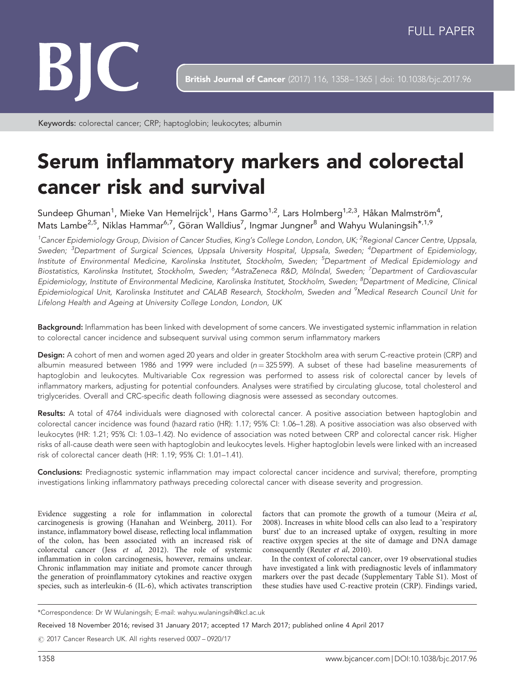

**British Journal of Cancer** (2017) 116, 1358-1365 | doi: 10.1038/bjc.2017.96

Keywords: colorectal cancer; CRP; haptoglobin; leukocytes; albumin

# Serum inflammatory markers and colorectal cancer risk and survival

Sundeep Ghuman $^1$ , Mieke Van Hemelrijck $^1$ , Hans Garmo $^{1,2}$ , Lars Holmberg $^{1,2,3}$ , Håkan Malmström $^4$ , Mats Lambe<sup>2,5</sup>, Niklas Hammar<sup>6,7</sup>, Göran Walldius<sup>7</sup>, Ingmar Jungner<sup>8</sup> and Wahyu Wulaningsih\*<sup>,1,9</sup>

<sup>1</sup>Cancer Epidemiology Group, Division of Cancer Studies, King's College London, London, UK; <sup>2</sup>Regional Cancer Centre, Uppsala, Sweden; <sup>3</sup>Department of Surgical Sciences, Uppsala University Hospital, Uppsala, Sweden; <sup>4</sup>Department of Epidemiology, Institute of Environmental Medicine, Karolinska Institutet, Stockholm, Sweden; <sup>5</sup>Department of Medical Epidemiology and Biostatistics, Karolinska Institutet, Stockholm, Sweden; <sup>6</sup>AstraZeneca R&D, Mölndal, Sweden; <sup>7</sup>Department of Cardiovascular Epidemiology, Institute of Environmental Medicine, Karolinska Institutet, Stockholm, Sweden; <sup>8</sup>Department of Medicine, Clinica Epidemiological Unit, Karolinska Institutet and CALAB Research, Stockholm, Sweden and <sup>9</sup>Medical Research Council Unit for Lifelong Health and Ageing at University College London, London, UK

Background: Inflammation has been linked with development of some cancers. We investigated systemic inflammation in relation to colorectal cancer incidence and subsequent survival using common serum inflammatory markers

Design: A cohort of men and women aged 20 years and older in greater Stockholm area with serum C-reactive protein (CRP) and albumin measured between 1986 and 1999 were included ( $n = 325599$ ). A subset of these had baseline measurements of haptoglobin and leukocytes. Multivariable Cox regression was performed to assess risk of colorectal cancer by levels of inflammatory markers, adjusting for potential confounders. Analyses were stratified by circulating glucose, total cholesterol and triglycerides. Overall and CRC-specific death following diagnosis were assessed as secondary outcomes.

Results: A total of 4764 individuals were diagnosed with colorectal cancer. A positive association between haptoglobin and colorectal cancer incidence was found (hazard ratio (HR): 1.17; 95% CI: 1.06–1.28). A positive association was also observed with leukocytes (HR: 1.21; 95% CI: 1.03–1.42). No evidence of association was noted between CRP and colorectal cancer risk. Higher risks of all-cause death were seen with haptoglobin and leukocytes levels. Higher haptoglobin levels were linked with an increased risk of colorectal cancer death (HR: 1.19; 95% CI: 1.01–1.41).

Conclusions: Prediagnostic systemic inflammation may impact colorectal cancer incidence and survival; therefore, prompting investigations linking inflammatory pathways preceding colorectal cancer with disease severity and progression.

Evidence suggesting a role for inflammation in colorectal carcinogenesis is growing [\(Hanahan and Weinberg, 2011\)](#page-6-0). For instance, inflammatory bowel disease, reflecting local inflammation of the colon, has been associated with an increased risk of colorectal cancer (Jess et al[, 2012\)](#page-6-0). The role of systemic inflammation in colon carcinogenesis, however, remains unclear. Chronic inflammation may initiate and promote cancer through the generation of proinflammatory cytokines and reactive oxygen species, such as interleukin-6 (IL-6), which activates transcription

factors that can promote the growth of a tumour [\(Meira](#page-6-0) et al, [2008](#page-6-0)). Increases in white blood cells can also lead to a 'respiratory burst' due to an increased uptake of oxygen, resulting in more reactive oxygen species at the site of damage and DNA damage consequently [\(Reuter](#page-6-0) et al, 2010).

In the context of colorectal cancer, over 19 observational studies have investigated a link with prediagnostic levels of inflammatory markers over the past decade (Supplementary Table S1). Most of these studies have used C-reactive protein (CRP). Findings varied,

\*Correspondence: Dr W Wulaningsih; E-mail: [wahyu.wulaningsih@kcl.ac.uk](mailto:wahyu.wulaningsih@kcl.ac.uk)

Received 18 November 2016; revised 31 January 2017; accepted 17 March 2017; published online 4 April 2017

 $\circ$  2017 Cancer Research UK. All rights reserved 0007 – 0920/17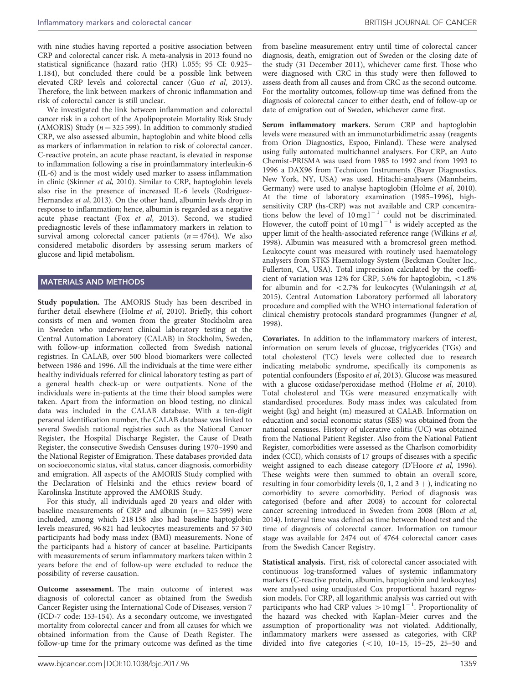with nine studies having reported a positive association between CRP and colorectal cancer risk. A meta-analysis in 2013 found no statistical significance (hazard ratio (HR) 1.055; 95 CI: 0.925– 1.184), but concluded there could be a possible link between elevated CRP levels and colorectal cancer (Guo et al[, 2013](#page-6-0)). Therefore, the link between markers of chronic inflammation and risk of colorectal cancer is still unclear.

We investigated the link between inflammation and colorectal cancer risk in a cohort of the Apolipoprotein Mortality Risk Study (AMORIS) Study ( $n = 325599$ ). In addition to commonly studied CRP, we also assessed albumin, haptoglobin and white blood cells as markers of inflammation in relation to risk of colorectal cancer. C-reactive protein, an acute phase reactant, is elevated in response to inflammation following a rise in proinflammatory interleukin-6 (IL-6) and is the most widely used marker to assess inflammation in clinic ([Skinner](#page-7-0) et al, 2010). Similar to CRP, haptoglobin levels also rise in the presence of increased IL-6 levels ([Rodriguez-](#page-6-0)[Hernandez](#page-6-0) et al, 2013). On the other hand, albumin levels drop in response to inflammation; hence, albumin is regarded as a negative acute phase reactant (Fox et al[, 2013\)](#page-6-0). Second, we studied prediagnostic levels of these inflammatory markers in relation to survival among colorectal cancer patients  $(n = 4764)$ . We also considered metabolic disorders by assessing serum markers of glucose and lipid metabolism.

# MATERIALS AND METHODS

Study population. The AMORIS Study has been described in further detail elsewhere [\(Holme](#page-6-0) et al, 2010). Briefly, this cohort consists of men and women from the greater Stockholm area in Sweden who underwent clinical laboratory testing at the Central Automation Laboratory (CALAB) in Stockholm, Sweden, with follow-up information collected from Swedish national registries. In CALAB, over 500 blood biomarkers were collected between 1986 and 1996. All the individuals at the time were either healthy individuals referred for clinical laboratory testing as part of a general health check-up or were outpatients. None of the individuals were in-patients at the time their blood samples were taken. Apart from the information on blood testing, no clinical data was included in the CALAB database. With a ten-digit personal identification number, the CALAB database was linked to several Swedish national registries such as the National Cancer Register, the Hospital Discharge Register, the Cause of Death Register, the consecutive Swedish Censuses during 1970–1990 and the National Register of Emigration. These databases provided data on socioeconomic status, vital status, cancer diagnosis, comorbidity and emigration. All aspects of the AMORIS Study complied with the Declaration of Helsinki and the ethics review board of Karolinska Institute approved the AMORIS Study.

For this study, all individuals aged 20 years and older with baseline measurements of CRP and albumin ( $n = 325599$ ) were included, among which 218 158 also had baseline haptoglobin levels measured, 96 821 had leukocytes measurements and 57 340 participants had body mass index (BMI) measurements. None of the participants had a history of cancer at baseline. Participants with measurements of serum inflammatory markers taken within 2 years before the end of follow-up were excluded to reduce the possibility of reverse causation.

Outcome assessment. The main outcome of interest was diagnosis of colorectal cancer as obtained from the Swedish Cancer Register using the International Code of Diseases, version 7 (ICD-7 code: 153-154). As a secondary outcome, we investigated mortality from colorectal cancer and from all causes for which we obtained information from the Cause of Death Register. The follow-up time for the primary outcome was defined as the time

Serum inflammatory markers. Serum CRP and haptoglobin levels were measured with an immunoturbidimetric assay (reagents from Orion Diagnostics, Espoo, Finland). These were analysed using fully automated multichannel analysers. For CRP, an Auto Chemist-PRISMA was used from 1985 to 1992 and from 1993 to 1996 a DAX96 from Technicon Instruments (Bayer Diagnostics, New York, NY, USA) was used. Hitachi-analysers (Mannheim, Germany) were used to analyse haptoglobin ([Holme](#page-6-0) et al, 2010). At the time of laboratory examination (1985–1996), highsensitivity CRP (hs-CRP) was not available and CRP concentrations below the level of  $10 \text{ mg}$  $1^{-1}$  could not be discriminated. However, the cutoff point of  $10$  mg l<sup>-1</sup> is widely accepted as the upper limit of the health-associated reference range ([Wilkins](#page-7-0) et al, [1998](#page-7-0)). Albumin was measured with a bromcresol green method. Leukocyte count was measured with routinely used haematology analysers from STKS Haematology System (Beckman Coulter Inc., Fullerton, CA, USA). Total imprecision calculated by the coefficient of variation was 12% for CRP, 5.6% for haptoglobin,  $<$  1.8% for albumin and for  $\langle 2.7\%$  for leukocytes ([Wulaningsih](#page-7-0) et al, [2015](#page-7-0)). Central Automation Laboratory performed all laboratory procedure and complied with the WHO international federation of clinical chemistry protocols standard programmes [\(Jungner](#page-6-0) et al, [1998](#page-6-0)).

Covariates. In addition to the inflammatory markers of interest, information on serum levels of glucose, triglycerides (TGs) and total cholesterol (TC) levels were collected due to research indicating metabolic syndrome, specifically its components as potential confounders [\(Esposito](#page-6-0) et al, 2013). Glucose was measured with a glucose oxidase/peroxidase method ([Holme](#page-6-0) et al, 2010). Total cholesterol and TGs were measured enzymatically with standardised procedures. Body mass index was calculated from weight (kg) and height (m) measured at CALAB. Information on education and social economic status (SES) was obtained from the national censuses. History of ulcerative colitis (UC) was obtained from the National Patient Register. Also from the National Patient Register, comorbidities were assessed as the Charlson comorbidity index (CCI), which consists of 17 groups of diseases with a specific weight assigned to each disease category ([D'Hoore](#page-6-0) et al, 1996). These weights were then summed to obtain an overall score, resulting in four comorbidity levels  $(0, 1, 2, 2, 3)$  indicating no comorbidity to severe comorbidity. Period of diagnosis was categorised (before and after 2008) to account for colorectal cancer screening introduced in Sweden from 2008 ([Blom](#page-6-0) et al, [2014](#page-6-0)). Interval time was defined as time between blood test and the time of diagnosis of colorectal cancer. Information on tumour stage was available for 2474 out of 4764 colorectal cancer cases from the Swedish Cancer Registry.

Statistical analysis. First, risk of colorectal cancer associated with continuous log-transformed values of systemic inflammatory markers (C-reactive protein, albumin, haptoglobin and leukocytes) were analysed using unadjusted Cox proportional hazard regression models. For CRP, all logarithmic analysis was carried out with participants who had CRP values  $> 10$  mg l<sup>-1</sup>. Proportionality of the hazard was checked with Kaplan–Meier curves and the assumption of proportionality was not violated. Additionally, inflammatory markers were assessed as categories, with CRP divided into five categories  $(<10, 10-15, 15-25, 25-50$  and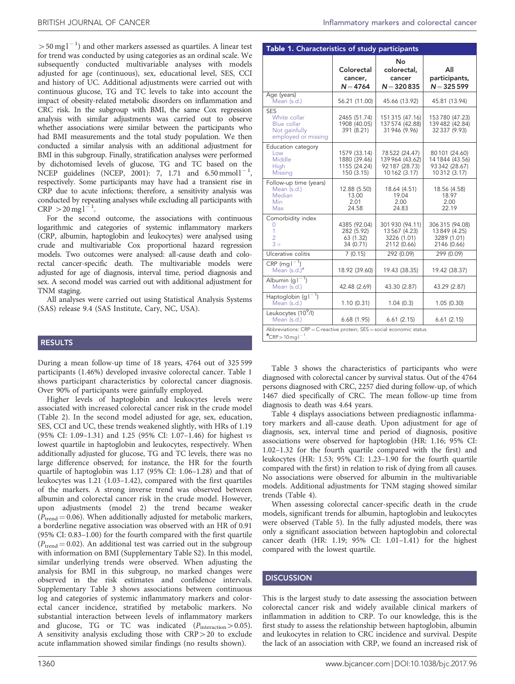$>$  50 mg l<sup>-1</sup>) and other markers assessed as quartiles. A linear test for trend was conducted by using categories as an ordinal scale. We subsequently conducted multivariable analyses with models adjusted for age (continuous), sex, educational level, SES, CCI and history of UC. Additional adjustments were carried out with continuous glucose, TG and TC levels to take into account the impact of obesity-related metabolic disorders on inflammation and CRC risk. In the subgroup with BMI, the same Cox regression analysis with similar adjustments was carried out to observe whether associations were similar between the participants who had BMI measurements and the total study population. We then conducted a similar analysis with an additional adjustment for BMI in this subgroup. Finally, stratification analyses were performed by dichotomised levels of glucose, TG and TC based on the NCEP guidelines [\(NCEP, 2001\):](#page-6-0) 7, 1.71 and  $6.50 \text{ mmol1}^{-1}$ , respectively. Some participants may have had a transient rise in CRP due to acute infections; therefore, a sensitivity analysis was conducted by repeating analyses while excluding all participants with  $CRP > 20$  mg l<sup>-1</sup> .

For the second outcome, the associations with continuous logarithmic and categories of systemic inflammatory markers (CRP, albumin, haptoglobin and leukocytes) were analysed using crude and multivariable Cox proportional hazard regression models. Two outcomes were analysed: all-cause death and colorectal cancer-specific death. The multivariable models were adjusted for age of diagnosis, interval time, period diagnosis and sex. A second model was carried out with additional adjustment for TNM staging.

All analyses were carried out using Statistical Analysis Systems (SAS) release 9.4 (SAS Institute, Cary, NC, USA).

#### RESULTS

During a mean follow-up time of 18 years, 4764 out of 325 599 participants (1.46%) developed invasive colorectal cancer. Table 1 shows participant characteristics by colorectal cancer diagnosis. Over 90% of participants were gainfully employed.

Higher levels of haptoglobin and leukocytes levels were associated with increased colorectal cancer risk in the crude model ([Table 2\)](#page-3-0). In the second model adjusted for age, sex, education, SES, CCI and UC, these trends weakened slightly, with HRs of 1.19 (95% CI: 1.09–1.31) and 1.25 (95% CI: 1.07–1.46) for highest vs lowest quartile in haptoglobin and leukocytes, respectively. When additionally adjusted for glucose, TG and TC levels, there was no large difference observed; for instance, the HR for the fourth quartile of haptoglobin was 1.17 (95% CI: 1.06–1.28) and that of leukocytes was 1.21 (1.03–1.42), compared with the first quartiles of the markers. A strong inverse trend was observed between albumin and colorectal cancer risk in the crude model. However, upon adjustments (model 2) the trend became weaker  $(P_{trend} = 0.06)$ . When additionally adjusted for metabolic markers, a borderline negative association was observed with an HR of 0.91 (95% CI: 0.83–1.00) for the fourth compared with the first quartile  $(P_{\text{trend}} = 0.02)$ . An additional test was carried out in the subgroup with information on BMI (Supplementary Table S2). In this model, similar underlying trends were observed. When adjusting the analysis for BMI in this subgroup, no marked changes were observed in the risk estimates and confidence intervals. Supplementary Table 3 shows associations between continuous log and categories of systemic inflammatory markers and colorectal cancer incidence, stratified by metabolic markers. No substantial interaction between levels of inflammatory markers and glucose, TG or TC was indicated  $(P_{\text{interaction}} > 0.05)$ . A sensitivity analysis excluding those with  $CRP > 20$  to exclude acute inflammation showed similar findings (no results shown).

# Table 1. Characteristics of study participants

|                                                                                                              | Colorectal<br>cancer,<br>$N = 4764$                       | Nο<br>colorectal,<br>cancer<br>$N = 320835$                          | All<br>participants,<br>$N = 325599$                                 |  |
|--------------------------------------------------------------------------------------------------------------|-----------------------------------------------------------|----------------------------------------------------------------------|----------------------------------------------------------------------|--|
| Age (years)<br>Mean (s.d.)                                                                                   | 56.21 (11.00)                                             | 45.66 (13.92)                                                        | 45.81 (13.94)                                                        |  |
| <b>SES</b><br>White collar<br>Blue collar<br>Not gainfully<br>employed or missing                            | 2465 (51.74)<br>1908 (40.05)<br>391 (8.21)                | 151 315 (47.16)<br>137 574 (42.88)<br>31946 (9.96)                   | 153780 (47.23)<br>139 482 (42.84)<br>32 337 (9.93)                   |  |
| Education category<br>Low<br>Middle<br>High<br><b>Missing</b>                                                | 1579 (33.14)<br>1880 (39.46)<br>1155 (24.24)<br>150(3.15) | 78 522 (24.47)<br>139 964 (43.62)<br>92 187 (28.73)<br>10 162 (3.17) | 80 101 (24.60)<br>14 1844 (43.56)<br>93 342 (28.67)<br>10 312 (3.17) |  |
| Follow-up time (years)<br>Mean (s.d.)<br>Median<br><b>Min</b><br>Max                                         | 12.88 (5.50)<br>13.00<br>2.01<br>24.58                    | 18.64 (4.51)<br>19.04<br>2.00<br>24.83                               | 18.56 (4.58)<br>18.97<br>2.00<br>22.19                               |  |
| Comorbidity index<br>Ω<br>1<br>$\overline{2}$<br>$\bar{3}$ +                                                 | 4385 (92.04)<br>282 (5.92)<br>63 (1.32)<br>34 (0.71)      | 301 930 (94.11)<br>13 567 (4.23)<br>3226 (1.01)<br>2112 (0.66)       | 306 315 (94.08)<br>13849 (4.25)<br>3289 (1.01)<br>2146 (0.66)        |  |
| Ulcerative colitis                                                                                           | 7(0.15)                                                   | 292 (0.09)                                                           | 299 (0.09)                                                           |  |
| $CRP$ (mg $1^{-1}$ )<br>Mean (s.d.) <sup>a</sup>                                                             | 18.92 (39.60)                                             | 19.43 (38.35)                                                        | 19.42 (38.37)                                                        |  |
| Albumin $(g1^{-1})$<br>Mean (s.d.)                                                                           | 42.48 (2.69)                                              | 43.30 (2.87)                                                         | 43.29 (2.87)                                                         |  |
| Haptoglobin $(g ^{-1})$<br>Mean (s.d.)                                                                       | 1.10(0.31)                                                | 1.04(0.3)                                                            | 1.05(0.30)                                                           |  |
| Leukocytes (10 <sup>9</sup> /l)<br>Mean (s.d.)                                                               | 6.68(1.95)                                                | 6.61(2.15)                                                           | 6.61(2.15)                                                           |  |
| Abbreviations: CRP = C-reactive protein; SES = social economic status.<br>$^a$ CRP > 10 mg l <sup>-1</sup> . |                                                           |                                                                      |                                                                      |  |

[Table 3](#page-4-0) shows the characteristics of participants who were diagnosed with colorectal cancer by survival status. Out of the 4764 persons diagnosed with CRC, 2257 died during follow-up, of which 1467 died specifically of CRC. The mean follow-up time from diagnosis to death was 4.64 years.

[Table 4](#page-4-0) displays associations between prediagnostic inflammatory markers and all-cause death. Upon adjustment for age of diagnosis, sex, interval time and period of diagnosis, positive associations were observed for haptoglobin (HR: 1.16; 95% CI: 1.02–1.32 for the fourth quartile compared with the first) and leukocytes (HR: 1.53; 95% CI: 1.23–1.90 for the fourth quartile compared with the first) in relation to risk of dying from all causes. No associations were observed for albumin in the multivariable models. Additional adjustments for TNM staging showed similar trends [\(Table 4](#page-4-0)).

When assessing colorectal cancer-specific death in the crude models, significant trends for albumin, haptoglobin and leukocytes were observed [\(Table 5\)](#page-5-0). In the fully adjusted models, there was only a significant association between haptoglobin and colorectal cancer death (HR: 1.19; 95% CI: 1.01–1.41) for the highest compared with the lowest quartile.

### **DISCUSSION**

This is the largest study to date assessing the association between colorectal cancer risk and widely available clinical markers of inflammation in addition to CRP. To our knowledge, this is the first study to assess the relationship between haptoglobin, albumin and leukocytes in relation to CRC incidence and survival. Despite the lack of an association with CRP, we found an increased risk of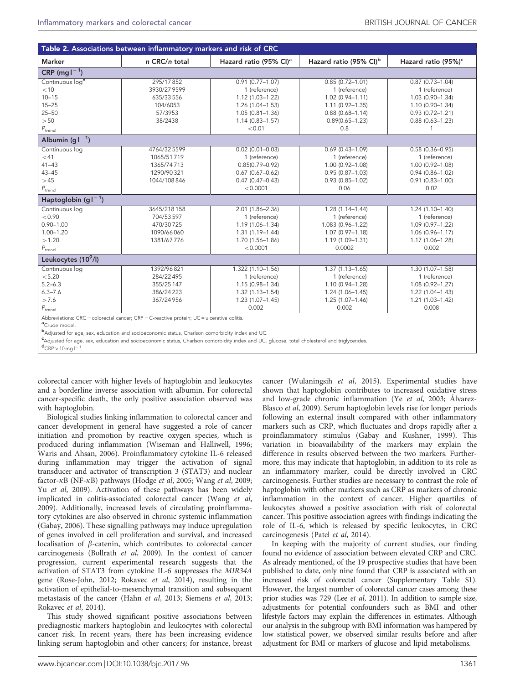<span id="page-3-0"></span>

| Table 2. Associations between inflammatory markers and risk of CRC |                                                                                                   |                                    |                                    |                                 |
|--------------------------------------------------------------------|---------------------------------------------------------------------------------------------------|------------------------------------|------------------------------------|---------------------------------|
| <b>Marker</b>                                                      | n CRC/n total                                                                                     | Hazard ratio (95% CI) <sup>a</sup> | Hazard ratio (95% CI) <sup>b</sup> | Hazard ratio (95%) <sup>c</sup> |
| CRP (mg $I^{-1}$ )                                                 |                                                                                                   |                                    |                                    |                                 |
| Continuous log <sup>d</sup>                                        | 295/17852                                                                                         | $0.91(0.77 - 1.07)$                | $0.85(0.72 - 1.01)$                | $0.87(0.73 - 1.04)$             |
| < 10                                                               | 3930/279599                                                                                       | 1 (reference)                      | 1 (reference)                      | 1 (reference)                   |
| $10 - 15$                                                          | 635/33556                                                                                         | $1.12(1.03 - 1.22)$                | 1.02 (0.94-1.11)                   | 1.03 (0.90-1.34)                |
| $15 - 25$                                                          | 104/6053                                                                                          | $1.26(1.04 - 1.53)$                | $1.11(0.92 - 1.35)$                | $1.10(0.90 - 1.34)$             |
| $25 - 50$                                                          | 57/3953                                                                                           | $1.05(0.81 - 1.36)$                | $0.88(0.68 - 1.14)$                | $0.93(0.72 - 1.21)$             |
| > 50                                                               | 38/2438                                                                                           | $1.14(0.83 - 1.57)$                | $0.89(0.65 - 1.23)$                | $0.88(0.63 - 1.23)$             |
| $P_{\text{trend}}$                                                 |                                                                                                   | < 0.01                             | 0.8                                | 1                               |
| Albumin (g $1^{-1}$ )                                              |                                                                                                   |                                    |                                    |                                 |
| Continuous log                                                     | 4764/325599                                                                                       | $0.02(0.01 - 0.03)$                | $0.69(0.43 - 1.09)$                | $0.58(0.36 - 0.95)$             |
| < 41                                                               | 1065/51719                                                                                        | 1 (reference)                      | 1 (reference)                      | 1 (reference)                   |
| $41 - 43$                                                          | 1365/74713                                                                                        | $0.85(0.79 - 0.92)$                | 1.00 (0.92-1.08)                   | 1.00 (0.92-1.08)                |
| $43 - 45$                                                          | 1290/90321                                                                                        | $0.67(0.67 - 0.62)$                | $0.95(0.87 - 1.03)$                | $0.94(0.86 - 1.02)$             |
| >45                                                                | 1044/108 846                                                                                      | $0.47(0.47 - 0.43)$                | $0.93(0.85 - 1.02)$                | $0.91(0.83 - 1.00)$             |
| $P_{\text{trend}}$                                                 |                                                                                                   | < 0.0001                           | 0.06                               | 0.02                            |
| Haptoglobin $(g1^{-1})$                                            |                                                                                                   |                                    |                                    |                                 |
| Continuous log                                                     | 3645/218158                                                                                       | $2.01(1.86 - 2.36)$                | $1.28(1.14 - 1.44)$                | $1.24(1.10-1.40)$               |
| < 0.90                                                             | 704/53597                                                                                         | 1 (reference)                      | 1 (reference)                      | 1 (reference)                   |
| $0.90 - 1.00$                                                      | 470/30725                                                                                         | $1.19(1.06 - 1.34)$                | 1.083 (0.96-1.22)                  | $1.09(0.97 - 1.22)$             |
| $1.00 - 1.20$                                                      | 1090/66060                                                                                        | $1.31(1.19 - 1.44)$                | $1.07(0.97 - 1.18)$                | $1.06(0.96 - 1.17)$             |
| >1.20                                                              | 1381/67776                                                                                        | 1.70 (1.56-1.86)                   | 1.19 (1.09-1.31)                   | $1.17(1.06 - 1.28)$             |
| $P_{\text{trend}}$                                                 |                                                                                                   | < 0.0001                           | 0.0002                             | 0.002                           |
| Leukocytes (10 <sup>9</sup> /l)                                    |                                                                                                   |                                    |                                    |                                 |
| Continuous log                                                     | 1392/96821                                                                                        | $1.322(1.10 - 1.56)$               | $1.37(1.13 - 1.65)$                | $1.30(1.07 - 1.58)$             |
| < 5.20                                                             | 284/22495                                                                                         | 1 (reference)                      | 1 (reference)                      | 1 (reference)                   |
| $5.2 - 6.3$                                                        | 355/25 147                                                                                        | 1.15 (0.98-1.34)                   | 1.10 (0.94-1.28)                   | 1.08 (0.92-1.27)                |
| $6.3 - 7.6$                                                        | 386/24 223                                                                                        | $1.32(1.13 - 1.54)$                | $1.24(1.06 - 1.45)$                | $1.22(1.04 - 1.43)$             |
| >7.6                                                               | 367/24956                                                                                         | $1.23(1.07 - 1.45)$                | $1.25(1.07 - 1.46)$                | $1.21(1.03 - 1.42)$             |
| $P_{\text{trend}}$                                                 |                                                                                                   | 0.002                              | 0.002                              | 0.008                           |
| $a_{Coulomb}$                                                      | Abbreviations: $CRC =$ colorectal cancer; $CRP = C$ -reactive protein; $UC =$ ulcerative colitis. |                                    |                                    |                                 |

<sup>a</sup>Crude model

**b** Adjusted for age, sex, education and socioeconomic status, Charlson comorbidity index and UC.<br>Sodiusted for age, agu, adjustion and socioeconomic status, Charlese comorbidity index and UC.

.<br>Adjusted for age, sex, education and socioeconomic status, Charlson comorbidity index and UC, glucose, total cholesterol and triglycerides.

 $d$ CRP > 10 mg l<sup>-1</sup>

.

colorectal cancer with higher levels of haptoglobin and leukocytes and a borderline inverse association with albumin. For colorectal cancer-specific death, the only positive association observed was with haptoglobin.

Biological studies linking inflammation to colorectal cancer and cancer development in general have suggested a role of cancer initiation and promotion by reactive oxygen species, which is produced during inflammation [\(Wiseman and Halliwell, 1996;](#page-7-0) [Waris and Ahsan, 2006\)](#page-7-0). Proinflammatory cytokine IL-6 released during inflammation may trigger the activation of signal transducer and activator of transcription 3 (STAT3) and nuclear factor- $\kappa$ B (NF- $\kappa$ B) pathways [\(Hodge](#page-6-0) et al, 2005; Wang et al[, 2009;](#page-7-0) Yu et al[, 2009](#page-7-0)). Activation of these pathways has been widely implicated in colitis-associated colorectal cancer ([Wang](#page-7-0) et al, [2009](#page-7-0)). Additionally, increased levels of circulating proinflammatory cytokines are also observed in chronic systemic inflammation ([Gabay, 2006\)](#page-6-0). These signalling pathways may induce upregulation of genes involved in cell proliferation and survival, and increased localisation of  $\beta$ -catenin, which contributes to colorectal cancer carcinogenesis [\(Bollrath](#page-6-0) et al, 2009). In the context of cancer progression, current experimental research suggests that the activation of STAT3 from cytokine IL-6 suppresses the MIR34A gene ([Rose-John, 2012](#page-7-0); [Rokavec](#page-6-0) et al, 2014), resulting in the activation of epithelial-to-mesenchymal transition and subsequent metastasis of the cancer (Hahn et al[, 2013;](#page-6-0) [Siemens](#page-7-0) et al, 2013; [Rokavec](#page-6-0) et al, 2014).

This study showed significant positive associations between prediagnostic markers haptoglobin and leukocytes with colorectal cancer risk. In recent years, there has been increasing evidence linking serum haptoglobin and other cancers; for instance, breast cancer ([Wulaningsih](#page-7-0) et al, 2015). Experimental studies have shown that haptoglobin contributes to increased oxidative stress and low-grade chronic inflammation (Ye et al[, 2003](#page-7-0); Alvarez-[Blasco](#page-6-0) et al, 2009). Serum haptoglobin levels rise for longer periods following an external insult compared with other inflammatory markers such as CRP, which fluctuates and drops rapidly after a proinflammatory stimulus ([Gabay and Kushner, 1999\)](#page-6-0). This variation in bioavailability of the markers may explain the difference in results observed between the two markers. Furthermore, this may indicate that haptoglobin, in addition to its role as an inflammatory marker, could be directly involved in CRC carcinogenesis. Further studies are necessary to contrast the role of haptoglobin with other markers such as CRP as markers of chronic inflammation in the context of cancer. Higher quartiles of leukocytes showed a positive association with risk of colorectal cancer. This positive association agrees with findings indicating the role of IL-6, which is released by specific leukocytes, in CRC carcinogenesis (Patel et al[, 2014\)](#page-6-0).

In keeping with the majority of current studies, our finding found no evidence of association between elevated CRP and CRC. As already mentioned, of the 19 prospective studies that have been published to date, only nine found that CRP is associated with an increased risk of colorectal cancer (Supplementary Table S1). However, the largest number of colorectal cancer cases among these prior studies was 729 (Lee et al[, 2011](#page-6-0)). In addition to sample size, adjustments for potential confounders such as BMI and other lifestyle factors may explain the differences in estimates. Although our analysis in the subgroup with BMI information was hampered by low statistical power, we observed similar results before and after adjustment for BMI or markers of glucose and lipid metabolisms.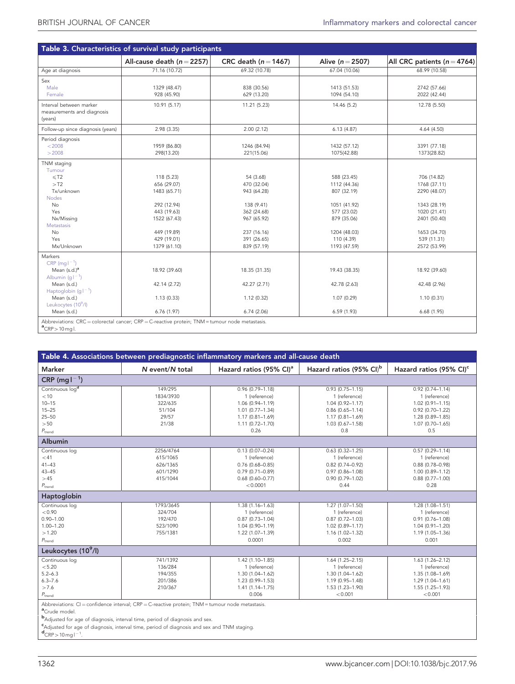<span id="page-4-0"></span>

| Table 3. Characteristics of survival study participants                                                                                                                                     |                                                                                                                                       |                                                                                                                                  |                                                                                                                                        |                                                                                                                                            |
|---------------------------------------------------------------------------------------------------------------------------------------------------------------------------------------------|---------------------------------------------------------------------------------------------------------------------------------------|----------------------------------------------------------------------------------------------------------------------------------|----------------------------------------------------------------------------------------------------------------------------------------|--------------------------------------------------------------------------------------------------------------------------------------------|
|                                                                                                                                                                                             | All-cause death $(n = 2257)$                                                                                                          | CRC death $(n = 1467)$                                                                                                           | Alive $(n = 2507)$                                                                                                                     | All CRC patients ( $n = 4764$ )                                                                                                            |
| Age at diagnosis                                                                                                                                                                            | 71.16 (10.72)                                                                                                                         | 69.32 (10.78)                                                                                                                    | 67.04 (10.06)                                                                                                                          | 68.99 (10.58)                                                                                                                              |
| Sex<br>Male<br>Female                                                                                                                                                                       | 1329 (48.47)<br>928 (45.90)                                                                                                           | 838 (30.56)<br>629 (13.20)                                                                                                       | 1413 (51.53)<br>1094 (54.10)                                                                                                           | 2742 (57.66)<br>2022 (42.44)                                                                                                               |
| Interval between marker<br>measurements and diagnosis<br>(years)                                                                                                                            | 10.91 (5.17)                                                                                                                          | 11.21 (5.23)                                                                                                                     | 14.46 (5.2)                                                                                                                            | 12.78 (5.50)                                                                                                                               |
| Follow-up since diagnosis (years)                                                                                                                                                           | 2.98(3.35)                                                                                                                            | 2.00(2.12)                                                                                                                       | 6.13(4.87)                                                                                                                             | 4.64(4.50)                                                                                                                                 |
| Period diagnosis<br>< 2008<br>>2008                                                                                                                                                         | 1959 (86.80)<br>298(13.20)                                                                                                            | 1246 (84.94)<br>221(15.06)                                                                                                       | 1432 (57.12)<br>1075(42.88)                                                                                                            | 3391 (77.18)<br>1373(28.82)                                                                                                                |
| TNM staging<br>Tumour<br>$\leq$ T2<br>$>$ T2<br>Tx/unknown<br><b>Nodes</b><br><b>No</b><br>Yes<br>Nx/Missing<br><b>Metastasis</b><br><b>No</b><br>Yes<br>Mx/Unknown                         | 118 (5.23)<br>656 (29.07)<br>1483 (65.71)<br>292 (12.94)<br>443 (19.63)<br>1522 (67.43)<br>449 (19.89)<br>429 (19.01)<br>1379 (61.10) | 54 (3.68)<br>470 (32.04)<br>943 (64.28)<br>138 (9.41)<br>362 (24.68)<br>967 (65.92)<br>237 (16.16)<br>391 (26.65)<br>839 (57.19) | 588 (23.45)<br>1112 (44.36)<br>807 (32.19)<br>1051 (41.92)<br>577 (23.02)<br>879 (35.06)<br>1204 (48.03)<br>110 (4.39)<br>1193 (47.59) | 706 (14.82)<br>1768 (37.11)<br>2290 (48.07)<br>1343 (28.19)<br>1020 (21.41)<br>2401 (50.40)<br>1653 (34.70)<br>539 (11.31)<br>2572 (53.99) |
| Markers<br>$CRP (mq ^{-1})$<br>Mean (s.d.) <sup>a</sup><br>Albumin (q $1^{-1}$ )<br>Mean (s.d.)<br>Haptoglobin $(qI^{-1})$<br>Mean (s.d.)<br>Leukocytes (10 <sup>9</sup> /l)<br>Mean (s.d.) | 18.92 (39.60)<br>42.14 (2.72)<br>1.13(0.33)<br>6.76(1.97)                                                                             | 18.35 (31.35)<br>42.27 (2.71)<br>1.12(0.32)<br>6.74(2.06)                                                                        | 19.43 (38.35)<br>42.78 (2.63)<br>1.07 (0.29)<br>6.59(1.93)                                                                             | 18.92 (39.60)<br>42.48 (2.96)<br>1.10(0.31)<br>6.68(1.95)                                                                                  |
| Abbreviations: $CRC =$ colorectal cancer; $CRP = C$ -reactive protein; $TNM =$ tumour node metastasis.<br>$a_{CDD}$ , $10ma$                                                                |                                                                                                                                       |                                                                                                                                  |                                                                                                                                        |                                                                                                                                            |

 $\text{RPR} > 10 \,\text{mg}$ l.

| Table 4. Associations between prediagnostic inflammatory markers and all-cause death |                                                                                                         |                                     |                                     |                                     |
|--------------------------------------------------------------------------------------|---------------------------------------------------------------------------------------------------------|-------------------------------------|-------------------------------------|-------------------------------------|
| Marker                                                                               | N event/N total                                                                                         | Hazard ratios (95% CI) <sup>a</sup> | Hazard ratios (95% CI) <sup>b</sup> | Hazard ratios (95% CI) <sup>c</sup> |
| CRP (mg $I^{-1}$ )                                                                   |                                                                                                         |                                     |                                     |                                     |
| Continuous log <sup>d</sup>                                                          | 149/295                                                                                                 | $0.96(0.79 - 1.18)$                 | $0.93(0.75 - 1.15)$                 | $0.92(0.74 - 1.14)$                 |
| < 10                                                                                 | 1834/3930                                                                                               | 1 (reference)                       | 1 (reference)                       | 1 (reference)                       |
| $10 - 15$                                                                            | 322/635                                                                                                 | 1.06 (0.94-1.19)                    | $1.04(0.92 - 1.17)$                 | $1.02(0.91 - 1.15)$                 |
| $15 - 25$                                                                            | 51/104                                                                                                  | $1.01$ (0.77-1.34)                  | $0.86(0.65 - 1.14)$                 | $0.92(0.70 - 1.22)$                 |
| $25 - 50$                                                                            | 29/57                                                                                                   | $1.17(0.81 - 1.69)$                 | $1.17(0.81 - 1.69)$                 | 1.28 (0.89-1.85)                    |
| >50                                                                                  | 21/38                                                                                                   | 1.11 (0.72-1.70)                    | $1.03(0.67 - 1.58)$                 | $1.07(0.70 - 1.65)$                 |
| $P_{\text{trend}}$                                                                   |                                                                                                         | 0.26                                | 0.8                                 | 0.5                                 |
| <b>Albumin</b>                                                                       |                                                                                                         |                                     |                                     |                                     |
| Continuous log                                                                       | 2256/4764                                                                                               | $0.13(0.07 - 0.24)$                 | $0.63(0.32 - 1.25)$                 | $0.57(0.29 - 1.14)$                 |
| $<$ 41                                                                               | 615/1065                                                                                                | 1 (reference)                       | 1 (reference)                       | 1 (reference)                       |
| $41 - 43$                                                                            | 626/1365                                                                                                | $0.76$ (0.68-0.85)                  | $0.82(0.74 - 0.92)$                 | $0.88(0.78 - 0.98)$                 |
| $43 - 45$                                                                            | 601/1290                                                                                                | $0.79(0.71 - 0.89)$                 | $0.97(0.86 - 1.08)$                 | $1.00(0.89 - 1.12)$                 |
| >45                                                                                  | 415/1044                                                                                                | $0.68$ (0.60-0.77)                  | $0.90(0.79 - 1.02)$                 | $0.88(0.77 - 1.00)$                 |
| $P_{\text{trend}}$                                                                   |                                                                                                         | < 0.0001                            | 0.44                                | 0.28                                |
| Haptoglobin                                                                          |                                                                                                         |                                     |                                     |                                     |
| Continuous log                                                                       | 1793/3645                                                                                               | $1.38(1.16 - 1.63)$                 | 1.27 (1.07-1.50)                    | 1.28 (1.08-1.51)                    |
| < 0.90                                                                               | 324/704                                                                                                 | 1 (reference)                       | 1 (reference)                       | 1 (reference)                       |
| $0.90 - 1.00$                                                                        | 192/470                                                                                                 | $0.87(0.73 - 1.04)$                 | $0.87(0.72 - 1.03)$                 | $0.91(0.76 - 1.08)$                 |
| $1.00 - 1.20$                                                                        | 523/1090                                                                                                | 1.04 (0.90-1.19)                    | 1.02 (0.89-1.17)                    | 1.04 (0.91-1.20)                    |
| >1.20                                                                                | 755/1381                                                                                                | 1.22 (1.07-1.39)                    | 1.16 (1.02-1.32)                    | 1.19 (1.05-1.36)                    |
| $P_{\text{trend}}$                                                                   |                                                                                                         | 0.0001                              | 0.002                               | 0.001                               |
| Leukocytes (10 <sup>9</sup> /l)                                                      |                                                                                                         |                                     |                                     |                                     |
| Continuous log                                                                       | 741/1392                                                                                                | $1.42(1.10 - 1.85)$                 | $1.64(1.25 - 2.15)$                 | $1.63(1.26 - 2.12)$                 |
| < 5.20                                                                               | 136/284                                                                                                 | 1 (reference)                       | 1 (reference)                       | 1 (reference)                       |
| $5.2 - 6.3$                                                                          | 194/355                                                                                                 | $1.30(1.04 - 1.62)$                 | 1.30 (1.04-1.62)                    | 1.35 (1.08-1.69)                    |
| $6.3 - 7.6$                                                                          | 201/386                                                                                                 | $1.23(0.99 - 1.53)$                 | 1.19 (0.95-1.48)                    | 1.29 (1.04-1.61)                    |
| >7.6                                                                                 | 210/367                                                                                                 | $1.41(1.14 - 1.75)$                 | 1.53 (1.23-1.90)                    | 1.55 (1.25-1.93)                    |
| $P_{\rm trend}$                                                                      |                                                                                                         | 0.006                               | < 0.001                             | < 0.001                             |
|                                                                                      | Abbreviations: $CI = confidence$ interval; $CRP = C$ -reactive protein; $TNM =$ tumour node metastasis. |                                     |                                     |                                     |
| <sup>a</sup> Crude model.                                                            |                                                                                                         |                                     |                                     |                                     |
|                                                                                      | <b>b</b> Adjusted for age of diagnosis, interval time, period of diagnosis and sex.                     |                                     |                                     |                                     |

**"**Adjusted for age of diagnosis, interval time, period of diagnosis and sex.<br>**"**Adjusted for age of diagnosis, interval time, period of diagnosis and sex and TNM staging.<br>**d**"CRP>10 mg|<sup>-1</sup>.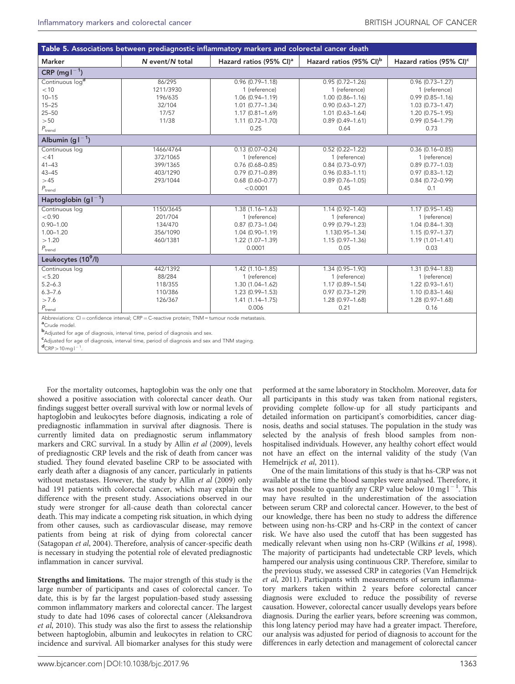<span id="page-5-0"></span>

| Table 5. Associations between prediagnostic inflammatory markers and colorectal cancer death |                                                                                                  |                                     |                                     |                                     |
|----------------------------------------------------------------------------------------------|--------------------------------------------------------------------------------------------------|-------------------------------------|-------------------------------------|-------------------------------------|
| Marker                                                                                       | N event/N total                                                                                  | Hazard ratios (95% CI) <sup>a</sup> | Hazard ratios (95% CI) <sup>b</sup> | Hazard ratios (95% CI) <sup>c</sup> |
| CRP (mg $I^{-1}$ )                                                                           |                                                                                                  |                                     |                                     |                                     |
| Continuous log <sup>d</sup>                                                                  | 86/295                                                                                           | $0.96(0.79 - 1.18)$                 | $0.95(0.72 - 1.26)$                 | $0.96(0.73 - 1.27)$                 |
| < 10                                                                                         | 1211/3930                                                                                        | 1 (reference)                       | 1 (reference)                       | 1 (reference)                       |
| $10 - 15$                                                                                    | 196/635                                                                                          | 1.06 (0.94-1.19)                    | $1.00(0.86 - 1.16)$                 | $0.99(0.85 - 1.16)$                 |
| $15 - 25$                                                                                    | 32/104                                                                                           | $1.01(0.77 - 1.34)$                 | $0.90(0.63 - 1.27)$                 | $1.03(0.73 - 1.47)$                 |
| $25 - 50$                                                                                    | 17/57                                                                                            | $1.17(0.81 - 1.69)$                 | $1.01(0.63 - 1.64)$                 | $1.20(0.75 - 1.95)$                 |
| > 50                                                                                         | 11/38                                                                                            | $1.11(0.72 - 1.70)$                 | $0.89(0.49 - 1.61)$                 | $0.99(0.54 - 1.79)$                 |
| $P_{\text{trend}}$                                                                           |                                                                                                  | 0.25                                | 0.64                                | 0.73                                |
| Albumin (q $1^{-1}$ )                                                                        |                                                                                                  |                                     |                                     |                                     |
| Continuous log                                                                               | 1466/4764                                                                                        | $0.13(0.07 - 0.24)$                 | $0.52(0.22 - 1.22)$                 | $0.36(0.16 - 0.85)$                 |
| < 41                                                                                         | 372/1065                                                                                         | 1 (reference)                       | 1 (reference)                       | 1 (reference)                       |
| $41 - 43$                                                                                    | 399/1365                                                                                         | $0.76(0.68 - 0.85)$                 | $0.84(0.73 - 0.97)$                 | $0.89(0.77 - 1.03)$                 |
| $43 - 45$                                                                                    | 403/1290                                                                                         | $0.79(0.71 - 0.89)$                 | $0.96(0.83 - 1.11)$                 | $0.97(0.83 - 1.12)$                 |
| >45                                                                                          | 293/1044                                                                                         | $0.68(0.60 - 0.77)$                 | $0.89(0.76 - 1.05)$                 | $0.84(0.72 - 0.99)$                 |
| $P_{\rm trend}$                                                                              |                                                                                                  | < 0.0001                            | 0.45                                | 0.1                                 |
| Haptoglobin $(gI^{-1})$                                                                      |                                                                                                  |                                     |                                     |                                     |
| Continuous log                                                                               | 1150/3645                                                                                        | $1.38(1.16 - 1.63)$                 | 1.14 (0.92-1.40)                    | $1.17(0.95 - 1.45)$                 |
| < 0.90                                                                                       | 201/704                                                                                          | 1 (reference)                       | 1 (reference)                       | 1 (reference)                       |
| $0.90 - 1.00$                                                                                | 134/470                                                                                          | $0.87(0.73 - 1.04)$                 | $0.99(0.79 - 1.23)$                 | $1.04(0.84 - 1.30)$                 |
| $1.00 - 1.20$                                                                                | 356/1090                                                                                         | $1.04(0.90 - 1.19)$                 | $1.13(0.95 - 1.34)$                 | $1.15(0.97 - 1.37)$                 |
| >1.20                                                                                        | 460/1381                                                                                         | 1.22 (1.07-1.39)                    | 1.15 (0.97-1.36)                    | $1.19(1.01 - 1.41)$                 |
| $P_{\rm trend}$                                                                              |                                                                                                  | 0.0001                              | 0.05                                | 0.03                                |
| Leukocytes (10 <sup>9</sup> /l)                                                              |                                                                                                  |                                     |                                     |                                     |
| Continuous log                                                                               | 442/1392                                                                                         | $1.42(1.10 - 1.85)$                 | 1.34 (0.95-1.90)                    | 1.31 (0.94-1.83)                    |
| < 5.20                                                                                       | 88/284                                                                                           | 1 (reference)                       | 1 (reference)                       | 1 (reference)                       |
| $5.2 - 6.3$                                                                                  | 118/355                                                                                          | $1.30(1.04 - 1.62)$                 | 1.17 (0.89-1.54)                    | $1.22(0.93 - 1.61)$                 |
| $6.3 - 7.6$                                                                                  | 110/386                                                                                          | $1.23(0.99 - 1.53)$                 | $0.97(0.73 - 1.29)$                 | $1.10(0.83 - 1.46)$                 |
| >7.6                                                                                         | 126/367                                                                                          | $1.41(1.14 - 1.75)$                 | $1.28(0.97 - 1.68)$                 | 1.28 (0.97-1.68)                    |
| $P_{\text{trend}}$                                                                           |                                                                                                  | 0.006                               | 0.21                                | 0.16                                |
|                                                                                              | Abbreviations: CI = confidence interval; CRP = C-reactive protein; TNM = tumour node metastasis. |                                     |                                     |                                     |
| <sup>a</sup> Crude model.                                                                    |                                                                                                  |                                     |                                     |                                     |

b Adjusted for age of diagnosis, interval time, period of diagnosis and sex.

c Adjusted for age of diagnosis, interval time, period of diagnosis and sex and TNM staging.

 $d$ CRP > 10 mg l<sup>-1</sup>

.

For the mortality outcomes, haptoglobin was the only one that showed a positive association with colorectal cancer death. Our findings suggest better overall survival with low or normal levels of haptoglobin and leukocytes before diagnosis, indicating a role of prediagnostic inflammation in survival after diagnosis. There is currently limited data on prediagnostic serum inflammatory markers and CRC survival. In a study by Allin et al [\(2009\),](#page-6-0) levels of prediagnostic CRP levels and the risk of death from cancer was studied. They found elevated baseline CRP to be associated with early death after a diagnosis of any cancer, particularly in patients without metastases. However, the study by Allin et al [\(2009\)](#page-6-0) only had 191 patients with colorectal cancer, which may explain the difference with the present study. Associations observed in our study were stronger for all-cause death than colorectal cancer death. This may indicate a competing risk situation, in which dying from other causes, such as cardiovascular disease, may remove patients from being at risk of dying from colorectal cancer ([Satagopan](#page-7-0) et al, 2004). Therefore, analysis of cancer-specific death is necessary in studying the potential role of elevated prediagnostic inflammation in cancer survival.

Strengths and limitations. The major strength of this study is the large number of participants and cases of colorectal cancer. To date, this is by far the largest population-based study assessing common inflammatory markers and colorectal cancer. The largest study to date had 1096 cases of colorectal cancer ([Aleksandrova](#page-6-0) et al[, 2010](#page-6-0)). This study was also the first to assess the relationship between haptoglobin, albumin and leukocytes in relation to CRC incidence and survival. All biomarker analyses for this study were

performed at the same laboratory in Stockholm. Moreover, data for all participants in this study was taken from national registers, providing complete follow-up for all study participants and detailed information on participant's comorbidities, cancer diagnosis, deaths and social statuses. The population in the study was selected by the analysis of fresh blood samples from nonhospitalised individuals. However, any healthy cohort effect would not have an effect on the internal validity of the study [\(Van](#page-7-0) [Hemelrijck](#page-7-0) et al, 2011).

One of the main limitations of this study is that hs-CRP was not available at the time the blood samples were analysed. Therefore, it was not possible to quantify any CRP value below  $10 \text{ mg}1^{-1}$ . This may have resulted in the underestimation of the association between serum CRP and colorectal cancer. However, to the best of our knowledge, there has been no study to address the difference between using non-hs-CRP and hs-CRP in the context of cancer risk. We have also used the cutoff that has been suggested has medically relevant when using non hs-CRP ([Wilkins](#page-7-0) et al, 1998). The majority of participants had undetectable CRP levels, which hampered our analysis using continuous CRP. Therefore, similar to the previous study, we assessed CRP in categories ([Van Hemelrijck](#page-7-0) et al[, 2011](#page-7-0)). Participants with measurements of serum inflammatory markers taken within 2 years before colorectal cancer diagnosis were excluded to reduce the possibility of reverse causation. However, colorectal cancer usually develops years before diagnosis. During the earlier years, before screening was common, this long latency period may have had a greater impact. Therefore, our analysis was adjusted for period of diagnosis to account for the differences in early detection and management of colorectal cancer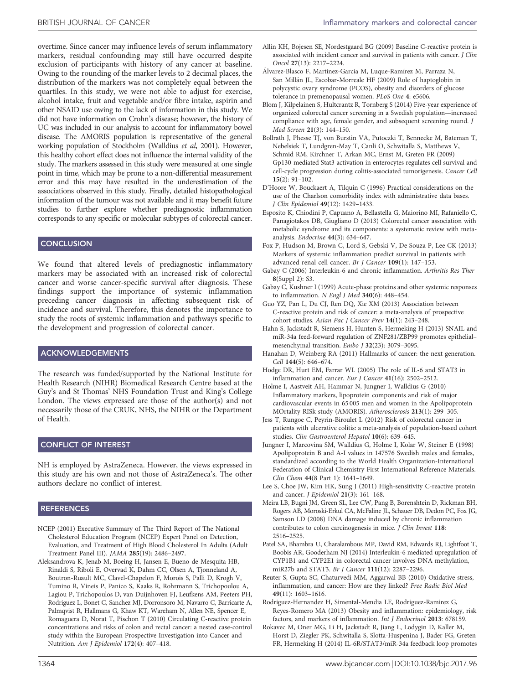<span id="page-6-0"></span>overtime. Since cancer may influence levels of serum inflammatory markers, residual confounding may still have occurred despite exclusion of participants with history of any cancer at baseline. Owing to the rounding of the marker levels to 2 decimal places, the distribution of the markers was not completely equal between the quartiles. In this study, we were not able to adjust for exercise, alcohol intake, fruit and vegetable and/or fibre intake, aspirin and other NSAID use owing to the lack of information in this study. We did not have information on Crohn's disease; however, the history of UC was included in our analysis to account for inflammatory bowel disease. The AMORIS population is representative of the general working population of Stockholm ([Walldius](#page-7-0) et al, 2001). However, this healthy cohort effect does not influence the internal validity of the study. The markers assessed in this study were measured at one single point in time, which may be prone to a non-differential measurement error and this may have resulted in the underestimation of the associations observed in this study. Finally, detailed histopathological information of the tumour was not available and it may benefit future studies to further explore whether prediagnostic inflammation corresponds to any specific or molecular subtypes of colorectal cancer.

#### **CONCLUSION**

We found that altered levels of prediagnostic inflammatory markers may be associated with an increased risk of colorectal cancer and worse cancer-specific survival after diagnosis. These findings support the importance of systemic inflammation preceding cancer diagnosis in affecting subsequent risk of incidence and survival. Therefore, this denotes the importance to study the roots of systemic inflammation and pathways specific to the development and progression of colorectal cancer.

### ACKNOWLEDGEMENTS

The research was funded/supported by the National Institute for Health Research (NIHR) Biomedical Research Centre based at the Guy's and St Thomas' NHS Foundation Trust and King's College London. The views expressed are those of the author(s) and not necessarily those of the CRUK, NHS, the NIHR or the Department of Health.

# CONFLICT OF INTEREST

NH is employed by AstraZeneca. However, the views expressed in this study are his own and not those of AstraZeneca's. The other authors declare no conflict of interest.

### **REFERENCES**

- NCEP (2001) Executive Summary of The Third Report of The National Cholesterol Education Program (NCEP) Expert Panel on Detection, Evaluation, and Treatment of High Blood Cholesterol In Adults (Adult Treatment Panel III). JAMA 285(19): 2486–2497.
- Aleksandrova K, Jenab M, Boeing H, Jansen E, Bueno-de-Mesquita HB, Rinaldi S, Riboli E, Overvad K, Dahm CC, Olsen A, Tjonneland A, Boutron-Ruault MC, Clavel-Chapelon F, Morois S, Palli D, Krogh V, Tumino R, Vineis P, Panico S, Kaaks R, Rohrmann S, Trichopoulou A, Lagiou P, Trichopoulos D, van Duijnhoven FJ, Leufkens AM, Peeters PH, Rodriguez L, Bonet C, Sanchez MJ, Dorronsoro M, Navarro C, Barricarte A, Palmqvist R, Hallmans G, Khaw KT, Wareham N, Allen NE, Spencer E, Romaguera D, Norat T, Pischon T (2010) Circulating C-reactive protein concentrations and risks of colon and rectal cancer: a nested case-control study within the European Prospective Investigation into Cancer and Nutrition. Am J Epidemiol 172(4): 407–418.
- Allin KH, Bojesen SE, Nordestgaard BG (2009) Baseline C-reactive protein is associated with incident cancer and survival in patients with cancer. J Clin Oncol 27(13): 2217–2224.
- Álvarez-Blasco F, Martínez-García M, Luque-Ramírez M, Parraza N, San Millán JL, Escobar-Morreale HF (2009) Role of haptoglobin in polycystic ovary syndrome (PCOS), obesity and disorders of glucose tolerance in premenopausal women. PLoS One 4: e5606.
- Blom J, Kilpelainen S, Hultcrantz R, Tornberg S (2014) Five-year experience of organized colorectal cancer screening in a Swedish population—increased compliance with age, female gender, and subsequent screening round. J Med Screen 21(3): 144–150.
- Bollrath J, Phesse TJ, von Burstin VA, Putoczki T, Bennecke M, Bateman T, Nebelsiek T, Lundgren-May T, Canli O, Schwitalla S, Matthews V, Schmid RM, Kirchner T, Arkan MC, Ernst M, Greten FR (2009) Gp130-mediated Stat3 activation in enterocytes regulates cell survival and cell-cycle progression during colitis-associated tumorigenesis. Cancer Cell 15(2): 91–102.
- D'Hoore W, Bouckaert A, Tilquin C (1996) Practical considerations on the use of the Charlson comorbidity index with administrative data bases. J Clin Epidemiol 49(12): 1429–1433.
- Esposito K, Chiodini P, Capuano A, Bellastella G, Maiorino MI, Rafaniello C, Panagiotakos DB, Giugliano D (2013) Colorectal cancer association with metabolic syndrome and its components: a systematic review with metaanalysis. Endocrine 44(3): 634–647.
- Fox P, Hudson M, Brown C, Lord S, Gebski V, De Souza P, Lee CK (2013) Markers of systemic inflammation predict survival in patients with advanced renal cell cancer. Br J Cancer 109(1): 147–153.
- Gabay C (2006) Interleukin-6 and chronic inflammation. Arthritis Res Ther 8(Suppl 2): S3.
- Gabay C, Kushner I (1999) Acute-phase proteins and other systemic responses to inflammation. N Engl J Med  $340(6)$ : 448-454.
- Guo YZ, Pan L, Du CJ, Ren DQ, Xie XM (2013) Association between C-reactive protein and risk of cancer: a meta-analysis of prospective cohort studies. Asian Pac J Cancer Prev 14(1): 243–248.
- Hahn S, Jackstadt R, Siemens H, Hunten S, Hermeking H (2013) SNAIL and miR-34a feed-forward regulation of ZNF281/ZBP99 promotes epithelial– mesenchymal transition. Embo J 32(23): 3079–3095.
- Hanahan D, Weinberg RA (2011) Hallmarks of cancer: the next generation. Cell 144(5): 646–674.
- Hodge DR, Hurt EM, Farrar WL (2005) The role of IL-6 and STAT3 in inflammation and cancer. Eur J Cancer 41(16): 2502–2512.
- Holme I, Aastveit AH, Hammar N, Jungner I, Walldius G (2010) Inflammatory markers, lipoprotein components and risk of major cardiovascular events in 65 005 men and women in the Apolipoprotein MOrtality RISk study (AMORIS). Atherosclerosis 213(1): 299–305.
- Jess T, Rungoe C, Peyrin-Biroulet L (2012) Risk of colorectal cancer in patients with ulcerative colitis: a meta-analysis of population-based cohort studies. Clin Gastroenterol Hepatol 10(6): 639–645.
- Jungner I, Marcovina SM, Walldius G, Holme I, Kolar W, Steiner E (1998) Apolipoprotein B and A-I values in 147576 Swedish males and females, standardized according to the World Health Organization-International Federation of Clinical Chemistry First International Reference Materials. Clin Chem 44(8 Part 1): 1641–1649.
- Lee S, Choe JW, Kim HK, Sung J (2011) High-sensitivity C-reactive protein and cancer. J Epidemiol 21(3): 161–168.
- Meira LB, Bugni JM, Green SL, Lee CW, Pang B, Borenshtein D, Rickman BH, Rogers AB, Moroski-Erkul CA, McFaline JL, Schauer DB, Dedon PC, Fox JG, Samson LD (2008) DNA damage induced by chronic inflammation contributes to colon carcinogenesis in mice. J Clin Invest 118: 2516–2525.
- Patel SA, Bhambra U, Charalambous MP, David RM, Edwards RJ, Lightfoot T, Boobis AR, Gooderham NJ (2014) Interleukin-6 mediated upregulation of CYP1B1 and CYP2E1 in colorectal cancer involves DNA methylation, miR27b and STAT3. Br J Cancer 111(12): 2287–2296.
- Reuter S, Gupta SC, Chaturvedi MM, Aggarwal BB (2010) Oxidative stress, inflammation, and cancer: How are they linked? Free Radic Biol Med 49(11): 1603–1616.
- Rodriguez-Hernandez H, Simental-Mendia LE, Rodriguez-Ramirez G, Reyes-Romero MA (2013) Obesity and inflammation: epidemiology, risk factors, and markers of inflammation. Int J Endocrinol 2013: 678159.
- Rokavec M, Oner MG, Li H, Jackstadt R, Jiang L, Lodygin D, Kaller M, Horst D, Ziegler PK, Schwitalla S, Slotta-Huspenina J, Bader FG, Greten FR, Hermeking H (2014) IL-6R/STAT3/miR-34a feedback loop promotes